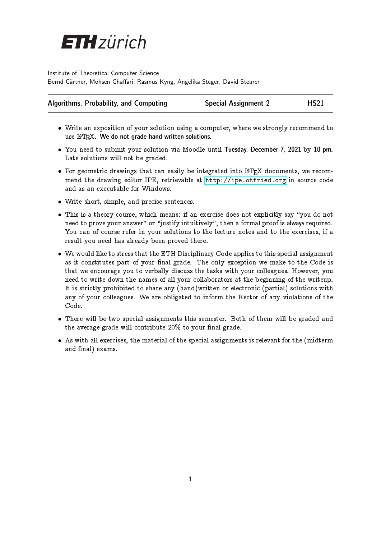

Institute of Theoretical Computer Science Bernd Gärtner, Mohsen Ghaffari, Rasmus Kyng, Angelika Steger, David Steurer

| Algorithms, Probability, and Computing | <b>Special Assignment 2</b> | <b>HS21</b> |
|----------------------------------------|-----------------------------|-------------|
|----------------------------------------|-----------------------------|-------------|

- Write an exposition of your solution using a computer, where we strongly recommend to use IAT<sub>E</sub>X. We do not grade hand-written solutions.
- You need to submit your solution via Moodle until Tuesday, December 7, 2021 by 10 pm. Late solutions will not be graded.
- For geometric drawings that can easily be integrated into LAT<sub>EX</sub> documents, we recommend the drawing editor IPE, retrievable at <http://ipe.otfried.org> in source code and as an executable for Windows.
- Write short, simple, and precise sentences.
- This is a theory course, which means: if an exercise does not explicitly say "you do not need to prove your answer" or "justify intuitively", then a formal proof is always required. You can of course refer in your solutions to the lecture notes and to the exercises, if a result you need has already been proved there.
- We would like to stress that the ETH Disciplinary Code applies to this special assignment as it constitutes part of your final grade. The only exception we make to the Code is that we encourage you to verbally discuss the tasks with your colleagues. However, you need to write down the names of all your collaborators at the beginning of the writeup. It is strictly prohibited to share any (hand)written or electronic (partial) solutions with any of your colleagues. We are obligated to inform the Rector of any violations of the Code.
- There will be two special assignments this semester. Both of them will be graded and the average grade will contribute  $20\%$  to your final grade.
- As with all exercises, the material of the special assignments is relevant for the (midterm and final) exams.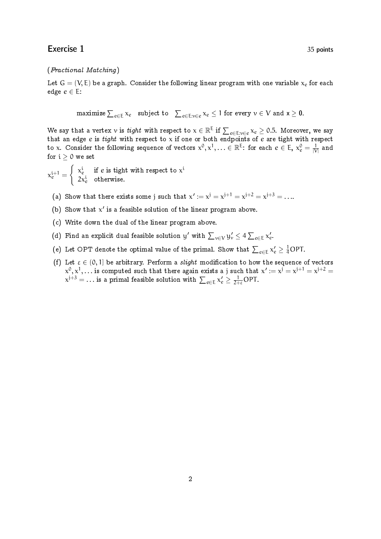### Exercise 1 35 points

#### (Fractional Matching)

Let  $G = (V, E)$  be a graph. Consider the following linear program with one variable  $x_e$  for each edge  $e \in E$ :

 $\text{maximize} \sum_{e\in\text{E}}\chi_e\quad\text{subject to}\quad\sum_{e\in\text{E}:v\in e}\chi_e\leq 1\,\,\text{for every}\,\,v\in\text{V}\,\,\text{and}\,\,\textsf{x}\geq \textsf{0}.$ 

We say that a vertex  $v$  is *tight* with respect to  $\chi\in\R^E$  if  $\sum_{e\in E: v\in e}\chi_e\geq 0.5.$  Moreover, we say that an edge  $e$  is  $tight$  with respect to  $\mathrm{\mathsf{x}}$  if one or both endpoints of  $e$  are tight with respect to x. Consider the following sequence of vectors  $\chi^0,\chi^1,\ldots\in\mathbb R^{\mathsf E}\!$ : for each  $e\in\mathsf E,~\chi^0_e=\frac{1}{|\mathsf V|}$  and for  $i > 0$  we set

 $x_e^{i+1} =$  $\int x_e^i$  if e is tight with respect to  $x^i$  $2x_e^i$  otherwise.

- (a) Show that there exists some j such that  $x' := x^j = x^{j+1} = x^{j+2} = x^{j+3} = \ldots$
- (b) Show that  $x'$  is a feasible solution of the linear program above.
- (c) Write down the dual of the linear program above.
- (d) Find an explicit dual feasible solution y' with  $\sum_{v \in V} y_v' \leq 4 \sum_{e \in E} x_e'$ .
- (e) Let OPT denote the optimal value of the primal. Show that  $\sum_{e\in\text{E}}\mathbf{x}'_{e}\geq\frac{1}{4}\text{OPT}.$
- (f) Let  $\varepsilon \in (0,1]$  be arbitrary. Perform a *slight* modification to how the sequence of vectors  $\chi^0, \chi^1, \ldots$  is computed such that there again exists a j such that  $\chi' := \chi^j = \chi^{j+1} = \chi^{j+2} = \chi^{j+1}$  $\chi^{\rm j+3}= \ldots$  is a primal feasible solution with  $\sum_{e \in {\text{E}}} \chi_e^{\prime} \geq \frac{1}{2+\varepsilon} \text{OPT}.$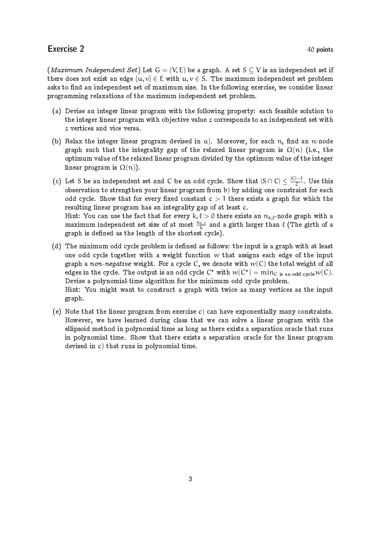## Exercise 2 40 points

(*Maximum Independent Set*) Let  $G = (V, E)$  be a graph. A set  $S \subset V$  is an independent set if there does not exist an edge  $\{u, v\} \in E$  with  $u, v \in S$ . The maximum independent set problem asks to find an independent set of maximum size. In the following exercise, we consider linear programming relaxations of the maximum independent set problem.

- (a) Devise an integer linear program with the following property: each feasible solution to the integer linear program with objective value  $z$  corresponds to an independent set with z vertices and vice versa.
- (b) Relax the integer linear program devised in  $a$ ). Moreover, for each n, find an n-node graph such that the integrality gap of the relaxed linear program is  $\Omega(n)$  (i.e., the optimum value of the relaxed linear program divided by the optimum value of the integer linear program is  $\Omega(n)$ ).
- (c) Let S be an independent set and C be an odd cycle. Show that  $|S \cap C| \leq \frac{|C|-1}{2}$  $\frac{1}{2}$ . Use this observation to strengthen your linear program from b) by adding one constraint for each odd cycle. Show that for every fixed constant  $c > 1$  there exists a graph for which the resulting linear program has an integrality gap of at least c. Hint: You can use the fact that for every k,  $\ell > 0$  there exists an  $n_{k,\ell}$ -node graph with a maximum independent set size of at most  $\frac{n_{\bf k,\ell}}{k}$  and a girth larger than  $\ell$  (The girth of a graph is defined as the length of the shortest cycle).
- (d) The minimum odd cycle problem is defined as follows: the input is a graph with at least one odd cycle together with a weight function  $w$  that assigns each edge of the input graph a non-negative weight. For a cycle C, we denote with  $w(C)$  the total weight of all edges in the cycle. The output is an odd cycle  $\mathsf{C}^*$  with  $w(\mathsf{C}^*) = \min_{\mathsf{C} \text{ is an odd cycle}} w(\mathsf{C}).$ Devise a polynomial-time algorithm for the minimum odd cycle problem. Hint: You might want to construct a graph with twice as many vertices as the input graph.
- (e) Note that the linear program from exercise c) can have exponentially many constraints. However, we have learned during class that we can solve a linear program with the ellipsoid method in polynomial time as long as there exists a separation oracle that runs in polynomial time. Show that there exists a separation oracle for the linear program devised in c) that runs in polynomial time.